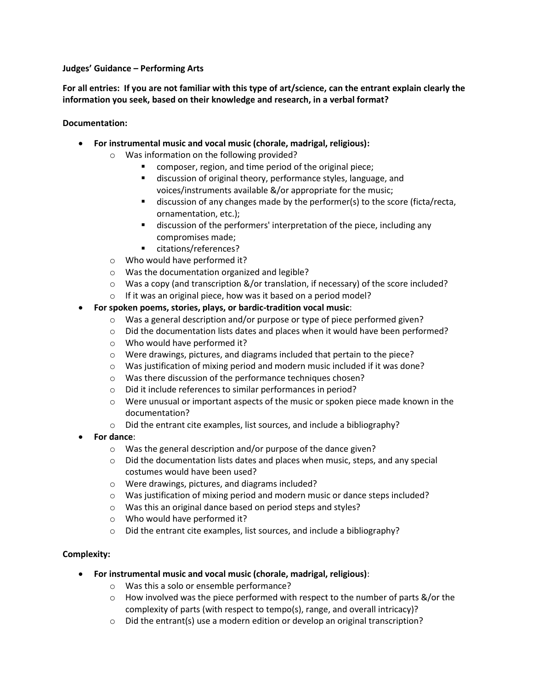## **Judges' Guidance – Performing Arts**

**For all entries: If you are not familiar with this type of art/science, can the entrant explain clearly the information you seek, based on their knowledge and research, in a verbal format?** 

## **Documentation:**

- **For instrumental music and vocal music (chorale, madrigal, religious):**
	- o Was information on the following provided?
		- composer, region, and time period of the original piece;
		- discussion of original theory, performance styles, language, and voices/instruments available &/or appropriate for the music;
		- discussion of any changes made by the performer(s) to the score (ficta/recta, ornamentation, etc.);
		- discussion of the performers' interpretation of the piece, including any compromises made;
		- citations/references?
	- o Who would have performed it?
	- o Was the documentation organized and legible?
	- $\circ$  Was a copy (and transcription &/or translation, if necessary) of the score included?
	- o If it was an original piece, how was it based on a period model?
- **For spoken poems, stories, plays, or bardic-tradition vocal music**:
	- o Was a general description and/or purpose or type of piece performed given?
	- $\circ$  Did the documentation lists dates and places when it would have been performed?
	- o Who would have performed it?
	- o Were drawings, pictures, and diagrams included that pertain to the piece?
	- o Was justification of mixing period and modern music included if it was done?
	- o Was there discussion of the performance techniques chosen?
	- o Did it include references to similar performances in period?
	- $\circ$  Were unusual or important aspects of the music or spoken piece made known in the documentation?
	- o Did the entrant cite examples, list sources, and include a bibliography?
- **For dance**:
	- o Was the general description and/or purpose of the dance given?
	- $\circ$  Did the documentation lists dates and places when music, steps, and any special costumes would have been used?
	- o Were drawings, pictures, and diagrams included?
	- o Was justification of mixing period and modern music or dance steps included?
	- o Was this an original dance based on period steps and styles?
	- o Who would have performed it?
	- o Did the entrant cite examples, list sources, and include a bibliography?

# **Complexity:**

- **For instrumental music and vocal music (chorale, madrigal, religious)**:
	- o Was this a solo or ensemble performance?
	- $\circ$  How involved was the piece performed with respect to the number of parts &/or the complexity of parts (with respect to tempo(s), range, and overall intricacy)?
	- $\circ$  Did the entrant(s) use a modern edition or develop an original transcription?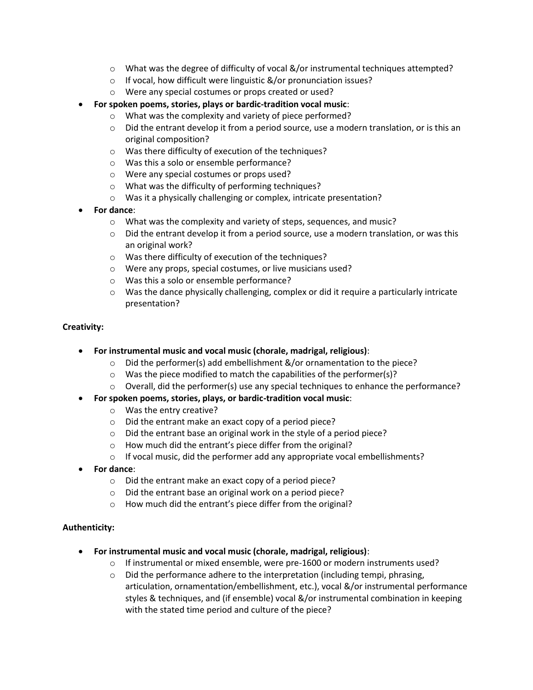- $\circ$  What was the degree of difficulty of vocal &/or instrumental techniques attempted?
- o If vocal, how difficult were linguistic &/or pronunciation issues?
- o Were any special costumes or props created or used?
- **For spoken poems, stories, plays or bardic-tradition vocal music**:
	- o What was the complexity and variety of piece performed?
	- $\circ$  Did the entrant develop it from a period source, use a modern translation, or is this an original composition?
	- o Was there difficulty of execution of the techniques?
	- o Was this a solo or ensemble performance?
	- o Were any special costumes or props used?
	- o What was the difficulty of performing techniques?
	- o Was it a physically challenging or complex, intricate presentation?
- **For dance**:
	- o What was the complexity and variety of steps, sequences, and music?
	- $\circ$  Did the entrant develop it from a period source, use a modern translation, or was this an original work?
	- o Was there difficulty of execution of the techniques?
	- o Were any props, special costumes, or live musicians used?
	- o Was this a solo or ensemble performance?
	- $\circ$  Was the dance physically challenging, complex or did it require a particularly intricate presentation?

### **Creativity:**

- **For instrumental music and vocal music (chorale, madrigal, religious)**:
	- $\circ$  Did the performer(s) add embellishment &/or ornamentation to the piece?
	- o Was the piece modified to match the capabilities of the performer(s)?
	- $\circ$  Overall, did the performer(s) use any special techniques to enhance the performance?
- **For spoken poems, stories, plays, or bardic-tradition vocal music**:
	- o Was the entry creative?
	- o Did the entrant make an exact copy of a period piece?
	- o Did the entrant base an original work in the style of a period piece?
	- o How much did the entrant's piece differ from the original?
	- $\circ$  If vocal music, did the performer add any appropriate vocal embellishments?
- **For dance**:
	- o Did the entrant make an exact copy of a period piece?
	- o Did the entrant base an original work on a period piece?
	- o How much did the entrant's piece differ from the original?

### **Authenticity:**

- **For instrumental music and vocal music (chorale, madrigal, religious)**:
	- o If instrumental or mixed ensemble, were pre-1600 or modern instruments used?
	- $\circ$  Did the performance adhere to the interpretation (including tempi, phrasing, articulation, ornamentation/embellishment, etc.), vocal &/or instrumental performance styles & techniques, and (if ensemble) vocal &/or instrumental combination in keeping with the stated time period and culture of the piece?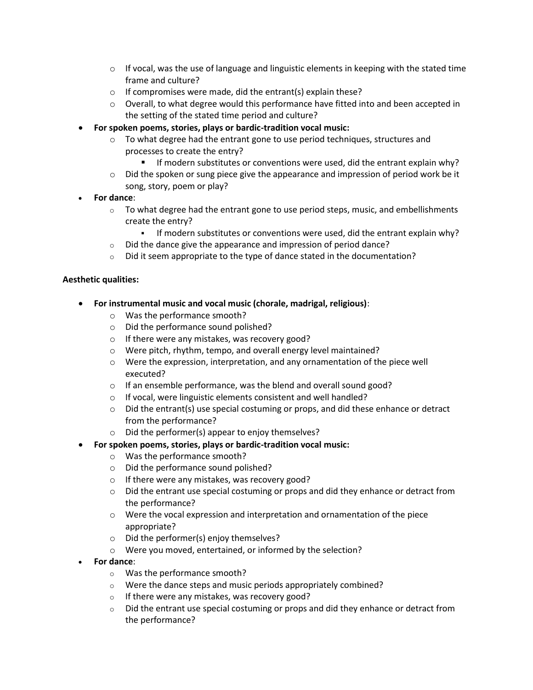- $\circ$  If vocal, was the use of language and linguistic elements in keeping with the stated time frame and culture?
- $\circ$  If compromises were made, did the entrant(s) explain these?
- $\circ$  Overall, to what degree would this performance have fitted into and been accepted in the setting of the stated time period and culture?
- **For spoken poems, stories, plays or bardic-tradition vocal music:**
	- o To what degree had the entrant gone to use period techniques, structures and processes to create the entry?
		- If modern substitutes or conventions were used, did the entrant explain why?
	- $\circ$  Did the spoken or sung piece give the appearance and impression of period work be it song, story, poem or play?
- **For dance**:
	- $\circ$  To what degree had the entrant gone to use period steps, music, and embellishments create the entry?
		- If modern substitutes or conventions were used, did the entrant explain why?
	- o Did the dance give the appearance and impression of period dance?
	- $\circ$  Did it seem appropriate to the type of dance stated in the documentation?

### **Aesthetic qualities:**

- **For instrumental music and vocal music (chorale, madrigal, religious)**:
	- o Was the performance smooth?
	- o Did the performance sound polished?
	- o If there were any mistakes, was recovery good?
	- o Were pitch, rhythm, tempo, and overall energy level maintained?
	- o Were the expression, interpretation, and any ornamentation of the piece well executed?
	- o If an ensemble performance, was the blend and overall sound good?
	- o If vocal, were linguistic elements consistent and well handled?
	- $\circ$  Did the entrant(s) use special costuming or props, and did these enhance or detract from the performance?
	- o Did the performer(s) appear to enjoy themselves?
	- **For spoken poems, stories, plays or bardic-tradition vocal music:** 
		- o Was the performance smooth?
		- o Did the performance sound polished?
		- o If there were any mistakes, was recovery good?
		- o Did the entrant use special costuming or props and did they enhance or detract from the performance?
		- o Were the vocal expression and interpretation and ornamentation of the piece appropriate?
		- o Did the performer(s) enjoy themselves?
		- o Were you moved, entertained, or informed by the selection?
- **For dance**:
	- o Was the performance smooth?
	- o Were the dance steps and music periods appropriately combined?
	- $\circ$  If there were any mistakes, was recovery good?
	- $\circ$  Did the entrant use special costuming or props and did they enhance or detract from the performance?